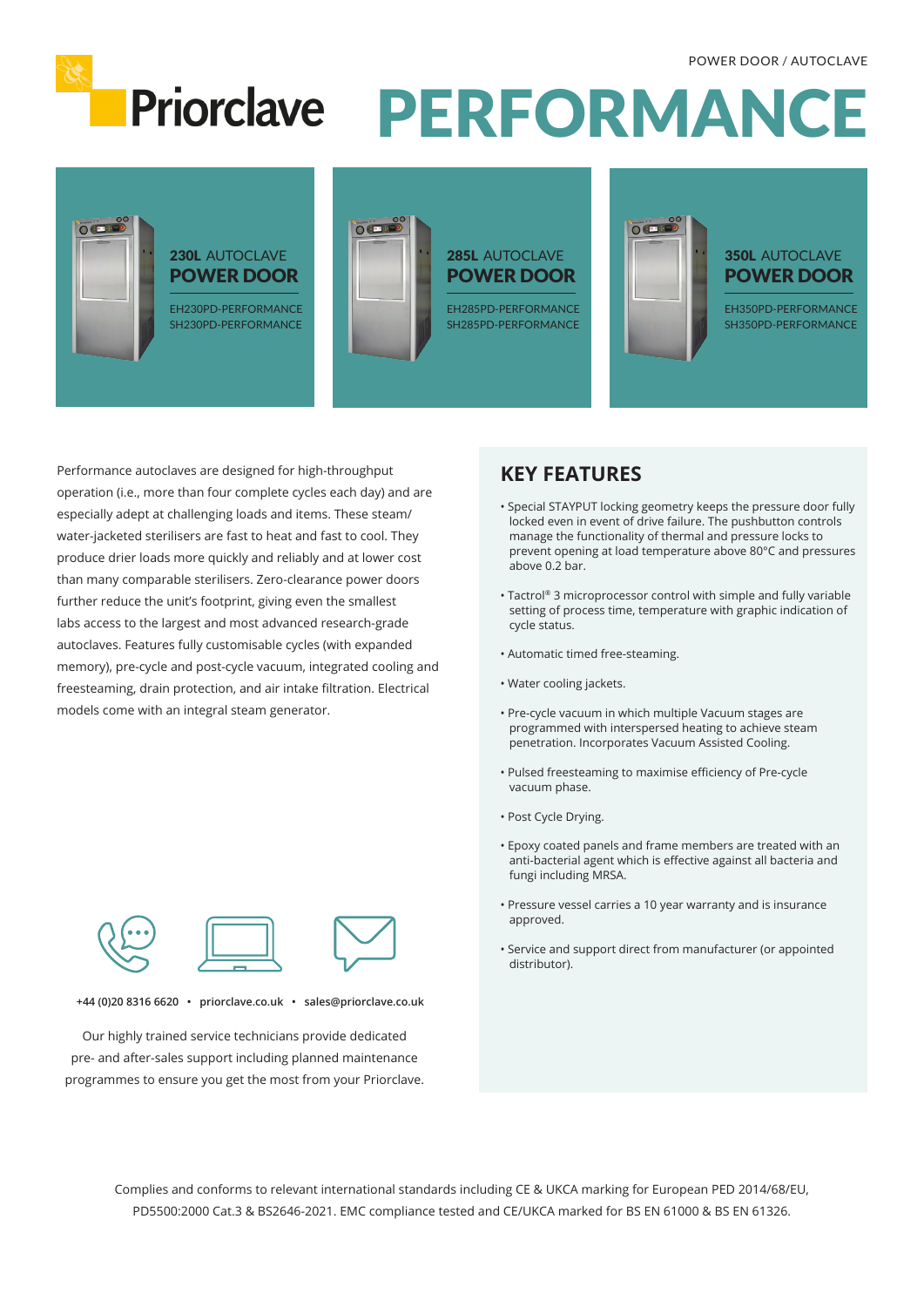

Priorclave PERFORMANCE



Performance autoclaves are designed for high-throughput operation (i.e., more than four complete cycles each day) and are especially adept at challenging loads and items. These steam/ water-jacketed sterilisers are fast to heat and fast to cool. They produce drier loads more quickly and reliably and at lower cost than many comparable sterilisers. Zero-clearance power doors further reduce the unit's footprint, giving even the smallest labs access to the largest and most advanced research-grade autoclaves. Features fully customisable cycles (with expanded memory), pre-cycle and post-cycle vacuum, integrated cooling and freesteaming, drain protection, and air intake filtration. Electrical models come with an integral steam generator.

### **KEY FEATURES**

- Special STAYPUT locking geometry keeps the pressure door fully locked even in event of drive failure. The pushbutton controls manage the functionality of thermal and pressure locks to prevent opening at load temperature above 80°C and pressures above 0.2 bar.
- Tactrol® 3 microprocessor control with simple and fully variable setting of process time, temperature with graphic indication of cycle status.
- Automatic timed free-steaming.
- Water cooling jackets.
- Pre-cycle vacuum in which multiple Vacuum stages are programmed with interspersed heating to achieve steam penetration. Incorporates Vacuum Assisted Cooling.
- Pulsed freesteaming to maximise efficiency of Pre-cycle vacuum phase.
- Post Cycle Drying.
- Epoxy coated panels and frame members are treated with an anti-bacterial agent which is effective against all bacteria and fungi including MRSA.
- Pressure vessel carries a 10 year warranty and is insurance approved.
- Service and support direct from manufacturer (or appointed distributor).



**+44 (0)20 8316 6620 • priorclave.co.uk • sales@priorclave.co.uk**

Our highly trained service technicians provide dedicated pre- and after-sales support including planned maintenance programmes to ensure you get the most from your Priorclave.

> Complies and conforms to relevant international standards including CE & UKCA marking for European PED 2014/68/EU, PD5500:2000 Cat.3 & BS2646-2021. EMC compliance tested and CE/UKCA marked for BS EN 61000 & BS EN 61326.